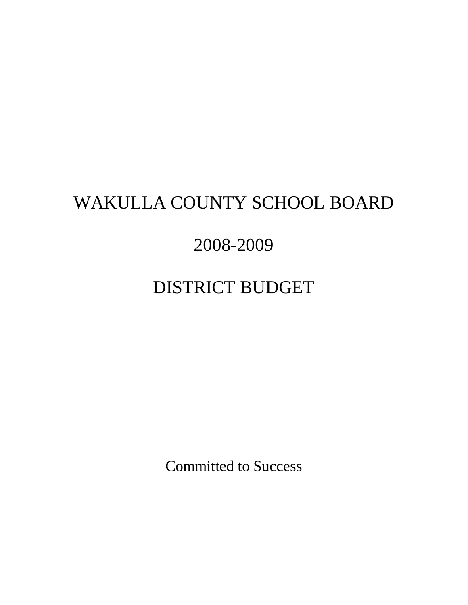# WAKULLA COUNTY SCHOOL BOARD

# 2008-2009

# DISTRICT BUDGET

Committed to Success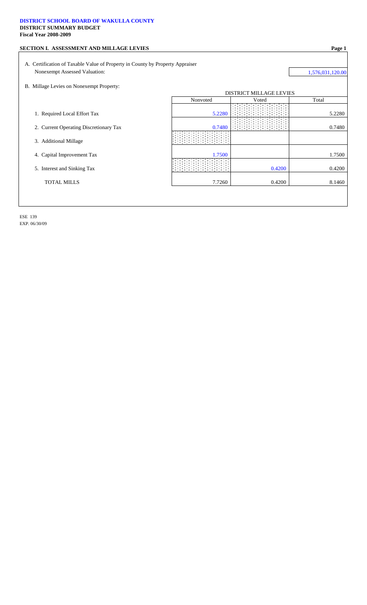### **DISTRICT SCHOOL BOARD OF WAKULLA COUNTY DISTRICT SUMMARY BUDGET Fiscal Year 2008-2009**

|        |                                                                                           | 1,576,031,120.00                        |
|--------|-------------------------------------------------------------------------------------------|-----------------------------------------|
|        |                                                                                           |                                         |
|        |                                                                                           |                                         |
|        |                                                                                           | Total                                   |
| 5.2280 |                                                                                           | 5.2280                                  |
| 0.7480 |                                                                                           | 0.7480                                  |
|        |                                                                                           |                                         |
| 1.7500 |                                                                                           | 1.7500                                  |
|        | 0.4200                                                                                    | 0.4200                                  |
| 7.7260 | 0.4200                                                                                    | 8.1460                                  |
|        | A. Certification of Taxable Value of Property in County by Property Appraiser<br>Nonvoted | <b>DISTRICT MILLAGE LEVIES</b><br>Voted |

ESE 139 EXP. 06/30/09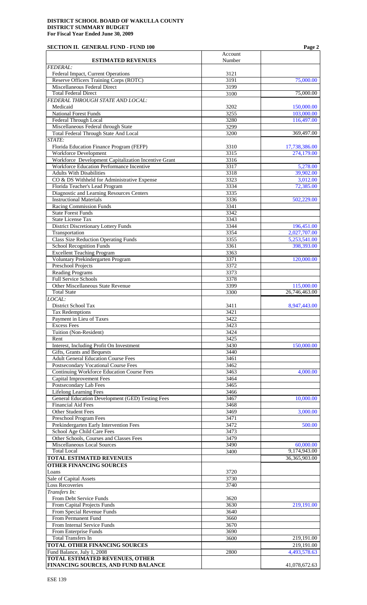### **SECTION II. GENERAL FUND - FUND 100 Page 2**

|                                                                                                   | Account      |                              |
|---------------------------------------------------------------------------------------------------|--------------|------------------------------|
| <b>ESTIMATED REVENUES</b><br><b>FEDERAL:</b>                                                      | Number       |                              |
| Federal Impact, Current Operations                                                                | 3121         |                              |
| Reserve Officers Training Corps (ROTC)                                                            | 3191         | 75,000.00                    |
| Miscellaneous Federal Direct<br><b>Total Federal Direct</b>                                       | 3199<br>3100 | 75,000.00                    |
| FEDERAL THROUGH STATE AND LOCAL:                                                                  |              |                              |
| Medicaid                                                                                          | 3202         | 150,000.00                   |
| <b>National Forest Funds</b>                                                                      | 3255         | 103,000.00                   |
| Federal Through Local<br>Miscellaneous Federal through State                                      | 3280<br>3299 | 116,497.00                   |
| <b>Total Federal Through State And Local</b>                                                      | 3200         | 369,497.00                   |
| STATE:                                                                                            |              |                              |
| Florida Education Finance Program (FEFP)                                                          | 3310         | 17,738,386.00                |
| <b>Workforce Development</b>                                                                      | 3315         | 274,179.00                   |
| Workforce Development Capitalization Incentive Grant<br>Workforce Education Performance Incentive | 3316<br>3317 | 5,278.00                     |
| <b>Adults With Disabilities</b>                                                                   | 3318         | 39,902.00                    |
| CO & DS Withheld for Administrative Expense                                                       | 3323         | 3,012.00                     |
| Florida Teacher's Lead Program                                                                    | 3334         | 72,385.00                    |
| Diagnostic and Learning Resources Centers<br><b>Instructional Materials</b>                       | 3335<br>3336 |                              |
| Racing Commission Funds                                                                           | 3341         | 502,229.00                   |
| <b>State Forest Funds</b>                                                                         | 3342         |                              |
| <b>State License Tax</b>                                                                          | 3343         |                              |
| <b>District Discretionary Lottery Funds</b>                                                       | 3344         | 196,451.00                   |
| Transportation<br><b>Class Size Reduction Operating Funds</b>                                     | 3354<br>3355 | 2,027,707.00<br>5,253,541.00 |
| <b>School Recognition Funds</b>                                                                   | 3361         | 398,393.00                   |
| <b>Excellent Teaching Program</b>                                                                 | 3363         |                              |
| Voluntary Prekindergarten Program                                                                 | 3371         | 120,000.00                   |
| Preschool Projects                                                                                | 3372         |                              |
| <b>Reading Programs</b><br><b>Full Service Schools</b>                                            | 3373<br>3378 |                              |
| Other Miscellaneous State Revenue                                                                 | 3399         | 115,000.00                   |
| <b>Total State</b>                                                                                | 3300         | 26,746,463.00                |
| LOCAL:                                                                                            |              |                              |
| District School Tax                                                                               | 3411         | 8,947,443.00                 |
| <b>Tax Redemptions</b><br>Payment in Lieu of Taxes                                                | 3421<br>3422 |                              |
| <b>Excess Fees</b>                                                                                | 3423         |                              |
| Tuition (Non-Resident)                                                                            | 3424         |                              |
| Rent                                                                                              | 3425         |                              |
| Interest, Including Profit On Investment<br>Gifts, Grants and Bequests                            | 3430<br>3440 | 150,000.00                   |
| <b>Adult General Education Course Fees</b>                                                        | 3461         |                              |
| Postsecondary Vocational Course Fees                                                              | 3462         |                              |
| <b>Continuing Workforce Education Course Fees</b>                                                 | 3463         | 4,000.00                     |
| <b>Capital Improvement Fees</b>                                                                   | 3464         |                              |
| Postsecondary Lab Fees<br><b>Lifelong Learning Fees</b>                                           | 3465<br>3466 |                              |
| General Education Development (GED) Testing Fees                                                  | 3467         | 10,000.00                    |
| <b>Financial Aid Fees</b>                                                                         | 3468         |                              |
| Other Student Fees                                                                                | 3469         | 3,000.00                     |
| Preschool Program Fees                                                                            | 3471         |                              |
| Prekindergarten Early Intervention Fees<br>School Age Child Care Fees                             | 3472<br>3473 | 500.00                       |
| Other Schools, Courses and Classes Fees                                                           | 3479         |                              |
| <b>Miscellaneous Local Sources</b>                                                                | 3490         | 60,000.00                    |
| <b>Total Local</b>                                                                                | 3400         | 9,174,943.00                 |
| <b>TOTAL ESTIMATED REVENUES</b>                                                                   |              | 36,365,903.00                |
| <b>OTHER FINANCING SOURCES</b>                                                                    |              |                              |
| Loans<br>Sale of Capital Assets                                                                   | 3720<br>3730 |                              |
| <b>Loss Recoveries</b>                                                                            | 3740         |                              |
| Transfers In:                                                                                     |              |                              |
| From Debt Service Funds                                                                           | 3620         |                              |
| From Capital Projects Funds<br>From Special Revenue Funds                                         | 3630<br>3640 | 219,191.00                   |
| From Permanent Fund                                                                               | 3660         |                              |
| From Internal Service Funds                                                                       | 3670         |                              |
| From Enterprise Funds                                                                             | 3690         |                              |
| <b>Total Transfers In</b>                                                                         | 3600         | 219,191.00                   |
| TOTAL OTHER FINANCING SOURCES<br>Fund Balance, July 1, 2008                                       | 2800         | 219,191.00<br>4,493,578.63   |
| <b>TOTAL ESTIMATED REVENUES, OTHER</b>                                                            |              |                              |
| FINANCING SOURCES, AND FUND BALANCE                                                               |              | 41,078,672.63                |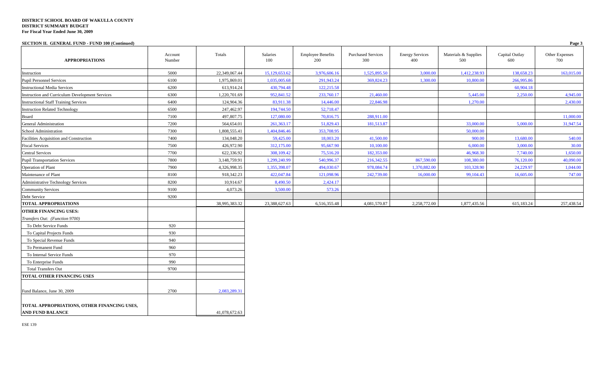**SECTION II. GENERAL FUND - FUND 100 (Continued) Page 3**

| <b>APPROPRIATIONS</b>                                                  | Account<br>Number | Totals        | Salaries<br>100 | <b>Employee Benefits</b><br>200 | <b>Purchased Services</b><br>300 | <b>Energy Services</b><br>400 | Materials & Supplies<br>500 | Capital Outlay<br>600 | Other Expenses<br>700 |
|------------------------------------------------------------------------|-------------------|---------------|-----------------|---------------------------------|----------------------------------|-------------------------------|-----------------------------|-----------------------|-----------------------|
| Instruction                                                            | 5000              | 22,349,067.44 | 15,129,653.62   | 3,976,606.16                    | 1,525,895.50                     | 3,000.00                      | 1,412,238.93                | 138,658.23            | 163,015.00            |
| <b>Pupil Personnel Services</b>                                        | 6100              | 1,975,869.01  | 1,035,005.68    | 291,943.24                      | 369,824.23                       | 1,300.00                      | 10,800.00                   | 266,995.86            |                       |
| <b>Instructional Media Services</b>                                    | 6200              | 613,914.24    | 430,794.48      | 122,215.58                      |                                  |                               |                             | 60,904.18             |                       |
| Instruction and Curriculum Development Services                        | 6300              | 1,220,701.69  | 952,841.52      | 233,760.17                      | 21,460.00                        |                               | 5,445.00                    | 2,250.00              | 4,945.00              |
| <b>Instructional Staff Training Services</b>                           | 6400              | 124,904.36    | 83,911.38       | 14,446.00                       | 22,846.98                        |                               | 1,270.00                    |                       | 2,430.00              |
| <b>Instruction Related Technology</b>                                  | 6500              | 247,462.97    | 194,744.50      | 52,718.47                       |                                  |                               |                             |                       |                       |
| Board                                                                  | 7100              | 497,807.75    | 127,080.00      | 70,816.75                       | 288,911.00                       |                               |                             |                       | 11,000.00             |
| General Administration                                                 | 7200              | 564,654.01    | 261,363.17      | 51,829.43                       | 181,513.87                       |                               | 33,000.00                   | 5,000.00              | 31,947.54             |
| School Administration                                                  | 7300              | 1,808,555.41  | 1,404,846.46    | 353,708.95                      |                                  |                               | 50,000.00                   |                       |                       |
| Facilities Acquisition and Construction                                | 7400              | 134,048.20    | 59,425.00       | 18,003.20                       | 41,500.00                        |                               | 900.00                      | 13,680.00             | 540.00                |
| <b>Fiscal Services</b>                                                 | 7500              | 426,972.90    | 312,175.00      | 95,667.90                       | 10,100.00                        |                               | 6,000.00                    | 3,000.00              | 30.00                 |
| <b>Central Services</b>                                                | 7700              | 622,336.92    | 308,109.42      | 75,516.20                       | 182,353.00                       |                               | 46,968.30                   | 7,740.00              | 1,650.00              |
| <b>Pupil Transportation Services</b>                                   | 7800              | 3,148,759.91  | 1,299,240.99    | 540,996.37                      | 216,342.55                       | 867,590.00                    | 108,380.00                  | 76,120.00             | 40,090.00             |
| Operation of Plant                                                     | 7900              | 4,326,998.35  | 1,355,398.07    | 494,030.67                      | 978,084.74                       | 1,370,882.00                  | 103,328.90                  | 24,229.97             | 1,044.00              |
| Maintenance of Plant                                                   | 8100              | 918,342.23    | 422,047.84      | 121,098.96                      | 242,739.00                       | 16,000.00                     | 99,104.43                   | 16,605.00             | 747.00                |
| Administrative Technology Services                                     | 8200              | 10,914.67     | 8,490.50        | 2,424.17                        |                                  |                               |                             |                       |                       |
| <b>Community Services</b>                                              | 9100              | 4,073.26      | 3,500.00        | 573.26                          |                                  |                               |                             |                       |                       |
| Debt Service                                                           | 9200              |               |                 |                                 |                                  |                               |                             |                       |                       |
| <b>TOTAL APPROPRIATIONS</b>                                            |                   | 38,995,383.32 | 23,388,627.63   | 6,516,355.48                    | 4,081,570.87                     | 2,258,772.00                  | 1,877,435.56                | 615,183.24            | 257,438.54            |
| <b>OTHER FINANCING USES:</b>                                           |                   |               |                 |                                 |                                  |                               |                             |                       |                       |
| Transfers Out: (Function 9700)                                         |                   |               |                 |                                 |                                  |                               |                             |                       |                       |
| To Debt Service Funds                                                  | 920               |               |                 |                                 |                                  |                               |                             |                       |                       |
| To Capital Projects Funds                                              | 930               |               |                 |                                 |                                  |                               |                             |                       |                       |
| To Special Revenue Funds                                               | 940               |               |                 |                                 |                                  |                               |                             |                       |                       |
| To Permanent Fund                                                      | 960               |               |                 |                                 |                                  |                               |                             |                       |                       |
| To Internal Service Funds                                              | 970               |               |                 |                                 |                                  |                               |                             |                       |                       |
| To Enterprise Funds                                                    | 990               |               |                 |                                 |                                  |                               |                             |                       |                       |
| <b>Total Transfers Out</b>                                             | 9700              |               |                 |                                 |                                  |                               |                             |                       |                       |
| <b>TOTAL OTHER FINANCING USES</b>                                      |                   |               |                 |                                 |                                  |                               |                             |                       |                       |
| Fund Balance, June 30, 2009                                            | 2700              | 2,083,289.31  |                 |                                 |                                  |                               |                             |                       |                       |
| TOTAL APPROPRIATIONS, OTHER FINANCING USES,<br><b>AND FUND BALANCE</b> |                   | 41,078,672.63 |                 |                                 |                                  |                               |                             |                       |                       |
|                                                                        |                   |               |                 |                                 |                                  |                               |                             |                       |                       |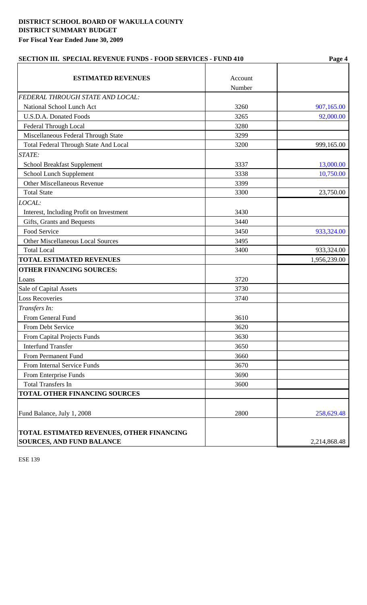| <b>SECTION III. SPECIAL REVENUE FUNDS - FOOD SERVICES - FUND 410</b>          |                   | Page 4       |  |  |
|-------------------------------------------------------------------------------|-------------------|--------------|--|--|
| <b>ESTIMATED REVENUES</b>                                                     | Account<br>Number |              |  |  |
| FEDERAL THROUGH STATE AND LOCAL:                                              |                   |              |  |  |
| National School Lunch Act                                                     | 3260              | 907,165.00   |  |  |
| <b>U.S.D.A. Donated Foods</b>                                                 | 3265              | 92,000.00    |  |  |
| Federal Through Local                                                         | 3280              |              |  |  |
| Miscellaneous Federal Through State                                           | 3299              |              |  |  |
| <b>Total Federal Through State And Local</b>                                  | 3200              | 999,165.00   |  |  |
| STATE:                                                                        |                   |              |  |  |
| <b>School Breakfast Supplement</b>                                            | 3337              | 13,000.00    |  |  |
| School Lunch Supplement                                                       | 3338              | 10,750.00    |  |  |
| <b>Other Miscellaneous Revenue</b>                                            | 3399              |              |  |  |
| <b>Total State</b>                                                            | 3300              | 23,750.00    |  |  |
| LOCAL:                                                                        |                   |              |  |  |
| Interest, Including Profit on Investment                                      | 3430              |              |  |  |
| Gifts, Grants and Bequests                                                    | 3440              |              |  |  |
| Food Service                                                                  | 3450              | 933,324.00   |  |  |
| <b>Other Miscellaneous Local Sources</b>                                      | 3495              |              |  |  |
| <b>Total Local</b>                                                            | 3400              | 933,324.00   |  |  |
| <b>TOTAL ESTIMATED REVENUES</b>                                               |                   | 1,956,239.00 |  |  |
| <b>OTHER FINANCING SOURCES:</b>                                               |                   |              |  |  |
| Loans                                                                         | 3720              |              |  |  |
| Sale of Capital Assets                                                        | 3730              |              |  |  |
| <b>Loss Recoveries</b>                                                        | 3740              |              |  |  |
| Transfers In:                                                                 |                   |              |  |  |
| From General Fund                                                             | 3610              |              |  |  |
| From Debt Service                                                             | 3620              |              |  |  |
| <b>From Capital Projects Funds</b>                                            | 3630              |              |  |  |
| <b>Interfund Transfer</b>                                                     | 3650              |              |  |  |
| From Permanent Fund                                                           | 3660              |              |  |  |
| From Internal Service Funds                                                   | 3670              |              |  |  |
| From Enterprise Funds                                                         | 3690              |              |  |  |
| <b>Total Transfers In</b>                                                     | 3600              |              |  |  |
| <b>TOTAL OTHER FINANCING SOURCES</b>                                          |                   |              |  |  |
| Fund Balance, July 1, 2008                                                    | 2800              | 258,629.48   |  |  |
| TOTAL ESTIMATED REVENUES, OTHER FINANCING<br><b>SOURCES, AND FUND BALANCE</b> |                   | 2,214,868.48 |  |  |
|                                                                               |                   |              |  |  |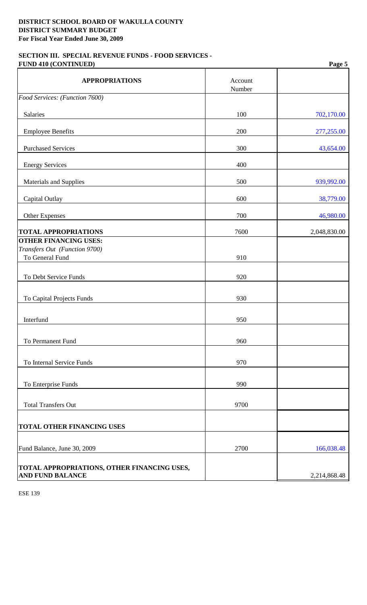# **SECTION III. SPECIAL REVENUE FUNDS - FOOD SERVICES - FUND 410 (CONTINUED) Page 5**

| <b>APPROPRIATIONS</b>                                                  | Account<br>Number |              |
|------------------------------------------------------------------------|-------------------|--------------|
| Food Services: (Function 7600)                                         |                   |              |
| Salaries                                                               | 100               | 702,170.00   |
| <b>Employee Benefits</b>                                               | 200               | 277,255.00   |
| <b>Purchased Services</b>                                              | 300               | 43,654.00    |
| <b>Energy Services</b>                                                 | 400               |              |
| <b>Materials and Supplies</b>                                          | 500               | 939,992.00   |
| Capital Outlay                                                         | 600               | 38,779.00    |
| Other Expenses                                                         | 700               | 46,980.00    |
| <b>TOTAL APPROPRIATIONS</b>                                            | 7600              | 2,048,830.00 |
| <b>OTHER FINANCING USES:</b>                                           |                   |              |
| Transfers Out (Function 9700)<br>To General Fund                       | 910               |              |
| To Debt Service Funds                                                  | 920               |              |
| To Capital Projects Funds                                              | 930               |              |
| Interfund                                                              | 950               |              |
| To Permanent Fund                                                      | 960               |              |
| To Internal Service Funds                                              | 970               |              |
| To Enterprise Funds                                                    | 990               |              |
| <b>Total Transfers Out</b>                                             | 9700              |              |
| <b>TOTAL OTHER FINANCING USES</b>                                      |                   |              |
| Fund Balance, June 30, 2009                                            | 2700              | 166,038.48   |
| TOTAL APPROPRIATIONS, OTHER FINANCING USES,<br><b>AND FUND BALANCE</b> |                   | 2,214,868.48 |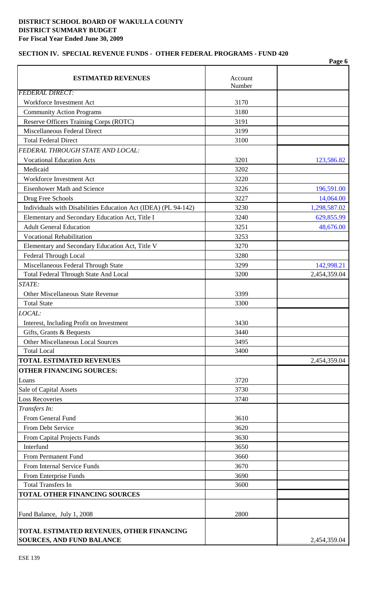# **SECTION IV. SPECIAL REVENUE FUNDS - OTHER FEDERAL PROGRAMS - FUND 420**

|                                                                                      |                   | Page 6       |
|--------------------------------------------------------------------------------------|-------------------|--------------|
| <b>ESTIMATED REVENUES</b>                                                            | Account<br>Number |              |
| <b>FEDERAL DIRECT:</b>                                                               |                   |              |
| Workforce Investment Act                                                             | 3170              |              |
| <b>Community Action Programs</b>                                                     | 3180              |              |
| Reserve Officers Training Corps (ROTC)                                               | 3191              |              |
| Miscellaneous Federal Direct                                                         | 3199              |              |
| <b>Total Federal Direct</b>                                                          | 3100              |              |
| FEDERAL THROUGH STATE AND LOCAL:                                                     |                   |              |
| <b>Vocational Education Acts</b>                                                     | 3201              | 123,586.82   |
| Medicaid                                                                             | 3202              |              |
| Workforce Investment Act                                                             | 3220              |              |
| <b>Eisenhower Math and Science</b>                                                   | 3226              | 196,591.00   |
| Drug Free Schools                                                                    | 3227              | 14,064.00    |
| Individuals with Disabilities Education Act (IDEA) (PL 94-142)                       | 3230              | 1,298,587.02 |
| Elementary and Secondary Education Act, Title I                                      | 3240              | 629,855.99   |
| <b>Adult General Education</b>                                                       | 3251              | 48,676.00    |
| <b>Vocational Rehabilitation</b>                                                     | 3253              |              |
| Elementary and Secondary Education Act, Title V                                      | 3270              |              |
| Federal Through Local                                                                | 3280              |              |
| Miscellaneous Federal Through State                                                  | 3299              | 142,998.21   |
| Total Federal Through State And Local                                                | 3200              | 2,454,359.04 |
| STATE:                                                                               |                   |              |
| <b>Other Miscellaneous State Revenue</b>                                             | 3399              |              |
| <b>Total State</b>                                                                   | 3300              |              |
| LOCAL:                                                                               |                   |              |
| Interest, Including Profit on Investment                                             | 3430              |              |
| Gifts, Grants & Bequests                                                             | 3440              |              |
| <b>Other Miscellaneous Local Sources</b>                                             | 3495              |              |
| <b>Total Local</b>                                                                   | 3400              |              |
| <b>TOTAL ESTIMATED REVENUES</b>                                                      |                   | 2,454,359.04 |
| <b>OTHER FINANCING SOURCES:</b>                                                      |                   |              |
| Loans                                                                                | 3720              |              |
| Sale of Capital Assets                                                               | 3730              |              |
| <b>Loss Recoveries</b>                                                               | 3740              |              |
| Transfers In:                                                                        |                   |              |
| From General Fund                                                                    | 3610              |              |
| From Debt Service                                                                    | 3620              |              |
| From Capital Projects Funds                                                          | 3630              |              |
| Interfund                                                                            | 3650              |              |
| From Permanent Fund                                                                  | 3660              |              |
| From Internal Service Funds                                                          | 3670              |              |
| From Enterprise Funds                                                                | 3690              |              |
| <b>Total Transfers In</b>                                                            | 3600              |              |
| TOTAL OTHER FINANCING SOURCES                                                        |                   |              |
|                                                                                      |                   |              |
| Fund Balance, July 1, 2008                                                           | 2800              |              |
|                                                                                      |                   |              |
| <b>TOTAL ESTIMATED REVENUES, OTHER FINANCING</b><br><b>SOURCES, AND FUND BALANCE</b> |                   | 2,454,359.04 |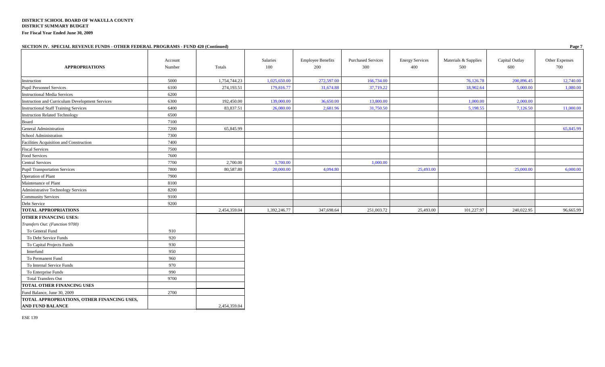#### **SECTION IV. SPECIAL REVENUE FUNDS - OTHER FEDERAL PROGRAMS - FUND 420 (Continued) Page 7**

| $\mu$ No $\mu$ , $\mu$ is the start that $\mu$ is the complex of $\mu$ is the starter $\mu$ is the starter $\mu$ (commuted) |         |              |              |                          |                           |                        |                      |                | 146            |
|-----------------------------------------------------------------------------------------------------------------------------|---------|--------------|--------------|--------------------------|---------------------------|------------------------|----------------------|----------------|----------------|
|                                                                                                                             | Account |              | Salaries     | <b>Employee Benefits</b> | <b>Purchased Services</b> | <b>Energy Services</b> | Materials & Supplies | Capital Outlay | Other Expenses |
| <b>APPROPRIATIONS</b>                                                                                                       | Number  | Totals       | 100          | 200                      | 300                       | 400                    | 500                  | 600            | 700            |
| Instruction                                                                                                                 | 5000    | 1,754,744.23 | 1,025,650.00 | 272,597.00               | 166,734.00                |                        | 76,126.78            | 200,896.45     | 12,740.00      |
| <b>Pupil Personnel Services</b>                                                                                             | 6100    | 274,193.51   | 179,816.77   | 31,674.88                | 37,719.22                 |                        | 18,902.64            | 5,000.00       | 1,080.00       |
| <b>Instructional Media Services</b>                                                                                         | 6200    |              |              |                          |                           |                        |                      |                |                |
| Instruction and Curriculum Development Services                                                                             | 6300    | 192,450.00   | 139,000.00   | 36,650.00                | 13,800.00                 |                        | 1,000.00             | 2,000.00       |                |
| <b>Instructional Staff Training Services</b>                                                                                | 6400    | 83,837.51    | 26,080.00    | 2,681.96                 | 31,750.50                 |                        | 5,198.55             | 7,126.50       | 11,000.00      |
| <b>Instruction Related Technology</b>                                                                                       | 6500    |              |              |                          |                           |                        |                      |                |                |
| Board                                                                                                                       | 7100    |              |              |                          |                           |                        |                      |                |                |
| General Administration                                                                                                      | 7200    | 65,845.99    |              |                          |                           |                        |                      |                | 65,845.99      |
| School Administration                                                                                                       | 7300    |              |              |                          |                           |                        |                      |                |                |
| Facilities Acquisition and Construction                                                                                     | 7400    |              |              |                          |                           |                        |                      |                |                |
| <b>Fiscal Services</b>                                                                                                      | 7500    |              |              |                          |                           |                        |                      |                |                |
| Food Services                                                                                                               | 7600    |              |              |                          |                           |                        |                      |                |                |
| <b>Central Services</b>                                                                                                     | 7700    | 2,700.00     | 1,700.00     |                          | 1,000.00                  |                        |                      |                |                |
| <b>Pupil Transportation Services</b>                                                                                        | 7800    | 80,587.80    | 20,000.00    | 4,094.80                 |                           | 25,493.00              |                      | 25,000.00      | 6,000.00       |
| Operation of Plant                                                                                                          | 7900    |              |              |                          |                           |                        |                      |                |                |
| Maintenance of Plant                                                                                                        | 8100    |              |              |                          |                           |                        |                      |                |                |
| <b>Administrative Technology Services</b>                                                                                   | 8200    |              |              |                          |                           |                        |                      |                |                |
| <b>Community Services</b>                                                                                                   | 9100    |              |              |                          |                           |                        |                      |                |                |
| Debt Service                                                                                                                | 9200    |              |              |                          |                           |                        |                      |                |                |
| <b>TOTAL APPROPRIATIONS</b>                                                                                                 |         | 2,454,359.04 | 1,392,246.77 | 347,698.64               | 251,003.72                | 25,493.00              | 101,227.97           | 240,022.95     | 96,665.99      |
| <b>OTHER FINANCING USES:</b>                                                                                                |         |              |              |                          |                           |                        |                      |                |                |
| Transfers Out: (Function 9700)                                                                                              |         |              |              |                          |                           |                        |                      |                |                |
| To General Fund                                                                                                             | 910     |              |              |                          |                           |                        |                      |                |                |
| To Debt Service Funds                                                                                                       | 920     |              |              |                          |                           |                        |                      |                |                |
| To Capital Projects Funds                                                                                                   | 930     |              |              |                          |                           |                        |                      |                |                |
| Interfund                                                                                                                   | 950     |              |              |                          |                           |                        |                      |                |                |
| To Permanent Fund                                                                                                           | 960     |              |              |                          |                           |                        |                      |                |                |
| To Internal Service Funds                                                                                                   | 970     |              |              |                          |                           |                        |                      |                |                |
| To Enterprise Funds                                                                                                         | 990     |              |              |                          |                           |                        |                      |                |                |
| <b>Total Transfers Out</b>                                                                                                  | 9700    |              |              |                          |                           |                        |                      |                |                |
| TOTAL OTHER FINANCING USES                                                                                                  |         |              |              |                          |                           |                        |                      |                |                |
| Fund Balance, June 30, 2009                                                                                                 | 2700    |              |              |                          |                           |                        |                      |                |                |
| TOTAL APPROPRIATIONS, OTHER FINANCING USES,                                                                                 |         |              |              |                          |                           |                        |                      |                |                |
| <b>AND FUND BALANCE</b>                                                                                                     |         | 2,454,359.04 |              |                          |                           |                        |                      |                |                |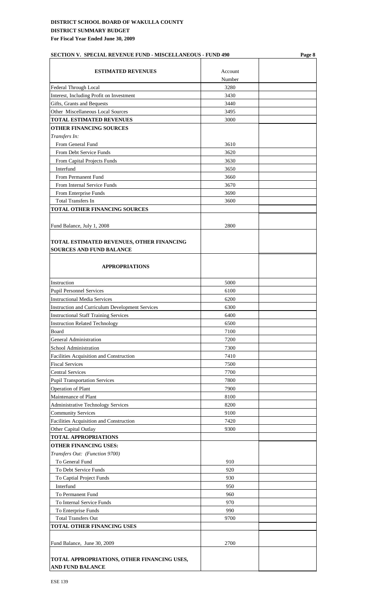# **DISTRICT SCHOOL BOARD OF WAKULLA COUNTY DISTRICT SUMMARY BUDGET**

**For Fiscal Year Ended June 30, 2009**

# **ESTIMATED REVENUES** Account Number Federal Through Local 3280 Interest, Including Profit on Investment 3430 Gifts, Grants and Bequests 3440 Other Miscellaneous Local Sources 3495 **TOTAL ESTIMATED REVENUES** 3000 **OTHER FINANCING SOURCES** *Transfers In:*  From General Fund 3610 From Debt Service Funds 3620 From Capital Projects Funds 3630 Interfund 3650 From Permanent Fund 3660 From Internal Service Funds 3670 From Enterprise Funds 3690 Total Transfers In 3600 **TOTAL OTHER FINANCING SOURCES** Fund Balance, July 1, 2008 2800 **TOTAL ESTIMATED REVENUES, OTHER FINANCING SOURCES AND FUND BALANCE APPROPRIATIONS** Instruction 5000 Pupil Personnel Services 6100 Instructional Media Services 6200 Instruction and Curriculum Development Services 6300 Instructional Staff Training Services 6400 Instruction Related Technology 6500 Board 7100 General Administration 7200 School Administration 7300 Facilities Acquisition and Construction 7410 Fiscal Services 7500 Central Services 7700 Pupil Transportation Services 7800 Operation of Plant 7900 Maintenance of Plant 8100 Administrative Technology Services 8200 Community Services 9100 Facilities Acquisition and Construction 7420 Other Capital Outlay 9300 **TOTAL APPROPRIATIONS OTHER FINANCING USES:** *Transfers Out: (Function 9700)* To General Fund 910 To Debt Service Funds 920 To Captial Project Funds 930 Interfund 950 To Permanent Fund 960 To Internal Service Funds 970 To Enterprise Funds 990 Total Transfers Out 9700 **TOTAL OTHER FINANCING USES** Fund Balance, June 30, 2009 2700 **TOTAL APPROPRIATIONS, OTHER FINANCING USES,**

**SECTION V. SPECIAL REVENUE FUND - MISCELLANEOUS - FUND 490 Page 8**

**AND FUND BALANCE**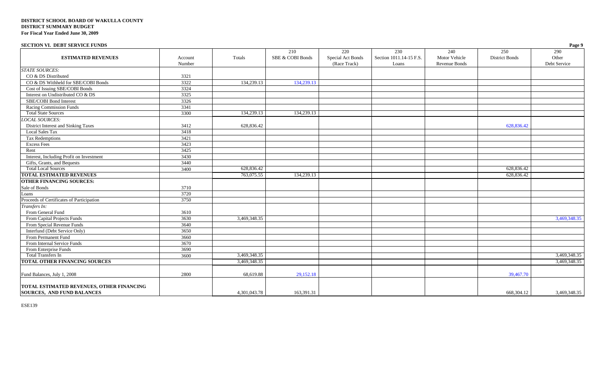#### **SECTION VI. DEBT SERVICE FUNDS Page 9**

| $500010111$ $10001001101100$                                                          |         |              |                  |                   |                         |                      |                       | $\frac{1}{2}$ up $\frac{1}{2}$ |
|---------------------------------------------------------------------------------------|---------|--------------|------------------|-------------------|-------------------------|----------------------|-----------------------|--------------------------------|
|                                                                                       |         |              | 210              | 220               | 230                     | 240                  | 250                   | 290                            |
| <b>ESTIMATED REVENUES</b>                                                             | Account | Totals       | SBE & COBI Bonds | Special Act Bonds | Section 1011.14-15 F.S. | Motor Vehicle        | <b>District Bonds</b> | Other                          |
|                                                                                       | Number  |              |                  | (Race Track)      | Loans                   | <b>Revenue Bonds</b> |                       | Debt Service                   |
| <b>STATE SOURCES:</b>                                                                 |         |              |                  |                   |                         |                      |                       |                                |
| CO & DS Distributed                                                                   | 3321    |              |                  |                   |                         |                      |                       |                                |
| CO & DS Withheld for SBE/COBI Bonds                                                   | 3322    | 134,239.13   | 134,239.13       |                   |                         |                      |                       |                                |
| Cost of Issuing SBE/COBI Bonds                                                        | 3324    |              |                  |                   |                         |                      |                       |                                |
| Interest on Undistributed CO & DS                                                     | 3325    |              |                  |                   |                         |                      |                       |                                |
| SBE/COBI Bond Interest                                                                | 3326    |              |                  |                   |                         |                      |                       |                                |
| Racing Commission Funds                                                               | 3341    |              |                  |                   |                         |                      |                       |                                |
| <b>Total State Sources</b>                                                            | 3300    | 134,239.13   | 134,239.13       |                   |                         |                      |                       |                                |
| <b>LOCAL SOURCES:</b>                                                                 |         |              |                  |                   |                         |                      |                       |                                |
| District Interest and Sinking Taxes                                                   | 3412    | 628,836.42   |                  |                   |                         |                      | 628,836.42            |                                |
| Local Sales Tax                                                                       | 3418    |              |                  |                   |                         |                      |                       |                                |
| <b>Tax Redemptions</b>                                                                | 3421    |              |                  |                   |                         |                      |                       |                                |
| <b>Excess Fees</b>                                                                    | 3423    |              |                  |                   |                         |                      |                       |                                |
| Rent                                                                                  | 3425    |              |                  |                   |                         |                      |                       |                                |
| Interest, Including Profit on Investment                                              | 3430    |              |                  |                   |                         |                      |                       |                                |
| Gifts, Grants, and Bequests                                                           | 3440    |              |                  |                   |                         |                      |                       |                                |
| <b>Total Local Sources</b>                                                            | 3400    | 628,836.42   |                  |                   |                         |                      | 628,836.42            |                                |
| <b>TOTAL ESTIMATED REVENUES</b>                                                       |         | 763,075.55   | 134,239.13       |                   |                         |                      | 628,836.42            |                                |
| <b>OTHER FINANCING SOURCES:</b>                                                       |         |              |                  |                   |                         |                      |                       |                                |
| Sale of Bonds                                                                         | 3710    |              |                  |                   |                         |                      |                       |                                |
| Loans                                                                                 | 3720    |              |                  |                   |                         |                      |                       |                                |
| Proceeds of Certificates of Participation                                             | 3750    |              |                  |                   |                         |                      |                       |                                |
| Transfers In:                                                                         |         |              |                  |                   |                         |                      |                       |                                |
| From General Fund                                                                     | 3610    |              |                  |                   |                         |                      |                       |                                |
| From Capital Projects Funds                                                           | 3630    | 3,469,348.35 |                  |                   |                         |                      |                       | 3,469,348.35                   |
| From Special Revenue Funds                                                            | 3640    |              |                  |                   |                         |                      |                       |                                |
| Interfund (Debt Service Only)                                                         | 3650    |              |                  |                   |                         |                      |                       |                                |
| From Permanent Fund                                                                   | 3660    |              |                  |                   |                         |                      |                       |                                |
| From Internal Service Funds                                                           | 3670    |              |                  |                   |                         |                      |                       |                                |
| From Enterprise Funds                                                                 | 3690    |              |                  |                   |                         |                      |                       |                                |
| <b>Total Transfers In</b>                                                             | 3600    | 3,469,348.35 |                  |                   |                         |                      |                       | 3,469,348.35                   |
| <b>TOTAL OTHER FINANCING SOURCES</b>                                                  |         | 3,469,348.35 |                  |                   |                         |                      |                       | 3.469.348.35                   |
| Fund Balances, July 1, 2008                                                           | 2800    | 68,619.88    | 29,152.18        |                   |                         |                      | 39,467.70             |                                |
| <b>TOTAL ESTIMATED REVENUES, OTHER FINANCING</b><br><b>SOURCES, AND FUND BALANCES</b> |         | 4,301,043.78 | 163,391.31       |                   |                         |                      | 668, 304. 12          | 3,469,348.35                   |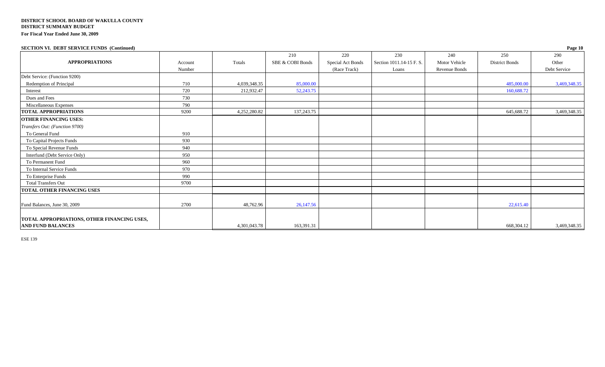#### **SECTION VI. DEBT SERVICE FUNDS (Continued) Page 10**

|                                                    |         |              | 210              | 220               | 230                      | 240           | 250            | 290          |
|----------------------------------------------------|---------|--------------|------------------|-------------------|--------------------------|---------------|----------------|--------------|
| <b>APPROPRIATIONS</b>                              | Account | Totals       | SBE & COBI Bonds | Special Act Bonds | Section 1011.14-15 F. S. | Motor Vehicle | District Bonds | Other        |
|                                                    | Number  |              |                  | (Race Track)      | Loans                    | Revenue Bonds |                | Debt Service |
| Debt Service: (Function 9200)                      |         |              |                  |                   |                          |               |                |              |
| Redemption of Principal                            | 710     | 4,039,348.35 | 85,000.00        |                   |                          |               | 485,000.00     | 3,469,348.35 |
| Interest                                           | 720     | 212,932.47   | 52,243.75        |                   |                          |               | 160,688.72     |              |
| Dues and Fees                                      | 730     |              |                  |                   |                          |               |                |              |
| Miscellaneous Expenses                             | 790     |              |                  |                   |                          |               |                |              |
| <b>TOTAL APPROPRIATIONS</b>                        | 9200    | 4,252,280.82 | 137, 243. 75     |                   |                          |               | 645,688.72     | 3,469,348.35 |
| <b>OTHER FINANCING USES:</b>                       |         |              |                  |                   |                          |               |                |              |
| Transfers Out: (Function 9700)                     |         |              |                  |                   |                          |               |                |              |
| To General Fund                                    | 910     |              |                  |                   |                          |               |                |              |
| To Capital Projects Funds                          | 930     |              |                  |                   |                          |               |                |              |
| To Special Revenue Funds                           | 940     |              |                  |                   |                          |               |                |              |
| Interfund (Debt Service Only)                      | 950     |              |                  |                   |                          |               |                |              |
| To Permanent Fund                                  | 960     |              |                  |                   |                          |               |                |              |
| To Internal Service Funds                          | 970     |              |                  |                   |                          |               |                |              |
| To Enterprise Funds                                | 990     |              |                  |                   |                          |               |                |              |
| <b>Total Transfers Out</b>                         | 9700    |              |                  |                   |                          |               |                |              |
| <b>TOTAL OTHER FINANCING USES</b>                  |         |              |                  |                   |                          |               |                |              |
|                                                    |         |              |                  |                   |                          |               |                |              |
| Fund Balances, June 30, 2009                       | 2700    | 48,762.96    | 26,147.56        |                   |                          |               | 22,615.40      |              |
| <b>TOTAL APPROPRIATIONS, OTHER FINANCING USES,</b> |         |              |                  |                   |                          |               |                |              |
| <b>AND FUND BALANCES</b>                           |         | 4,301,043.78 | 163,391.31       |                   |                          |               | 668,304.12     | 3,469,348.35 |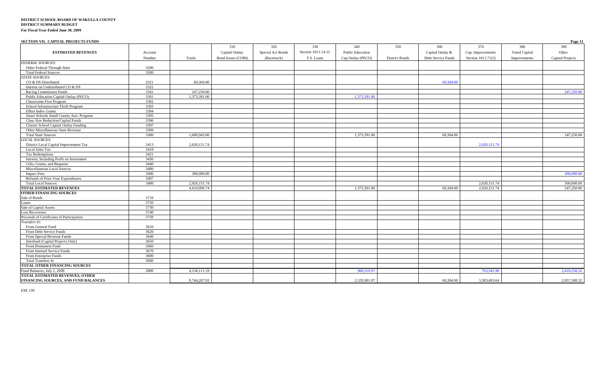| SECTION VII. CAPITAL PROJECTS FUNDS       |         |              |                    |                   |                    |                         |                       |                    |                    |               | Page 11          |
|-------------------------------------------|---------|--------------|--------------------|-------------------|--------------------|-------------------------|-----------------------|--------------------|--------------------|---------------|------------------|
|                                           |         |              | 310                | 320               | 330                | 340                     | 350                   | 360                | 370                | 380           | 390              |
| <b>ESTIMATED REVENUES</b>                 | Account |              | Capital Outlay     | Special Act Bonds | Section 1011.14-15 | <b>Public Education</b> |                       | Capital Outlay &   | Cap. Improvements  | Voted Capital | Other            |
|                                           | Number  | Totals       | Bond Issues (COBI) | (Racetrack)       | F.S. Loans         | Cap Outlay (PECO)       | <b>District Bonds</b> | Debt Service Funds | Section 1011.71(2) | Improvements  | Capital Projects |
| <b>FEDERAL SOURCES:</b>                   |         |              |                    |                   |                    |                         |                       |                    |                    |               |                  |
| Other Federal Through State               | 3290    |              |                    |                   |                    |                         |                       |                    |                    |               |                  |
| <b>Total Federal Sources</b>              | 3200    |              |                    |                   |                    |                         |                       |                    |                    |               |                  |
| <b>STATE SOURCES:</b>                     |         |              |                    |                   |                    |                         |                       |                    |                    |               |                  |
| CO & DS Distributed                       | 3321    | 69,304.00    |                    |                   |                    |                         |                       | 69,304.00          |                    |               |                  |
| Interest on Undistributed CO & DS         | 3325    |              |                    |                   |                    |                         |                       |                    |                    |               |                  |
| Racing Commission Funds                   | 3341    | 247,250.00   |                    |                   |                    |                         |                       |                    |                    |               | 247,250.00       |
| Public Education Capital Outlay (PECO)    | 3391    | 1,373,391.00 |                    |                   |                    | 1.373.391.00            |                       |                    |                    |               |                  |
| <b>Classrooms First Program</b>           | 3392    |              |                    |                   |                    |                         |                       |                    |                    |               |                  |
| School Infrastructure Thrift Program      | 3393    |              |                    |                   |                    |                         |                       |                    |                    |               |                  |
| <b>Effort Index Grants</b>                | 3394    |              |                    |                   |                    |                         |                       |                    |                    |               |                  |
| Smart Schools Small County Asst. Program  | 3395    |              |                    |                   |                    |                         |                       |                    |                    |               |                  |
| Class Size Reduction/Capital Funds        | 3396    |              |                    |                   |                    |                         |                       |                    |                    |               |                  |
| Charter School Capital Outlay Funding     | 3397    |              |                    |                   |                    |                         |                       |                    |                    |               |                  |
| Other Miscellaneous State Revenue         | 3399    |              |                    |                   |                    |                         |                       |                    |                    |               |                  |
| <b>Total State Sources</b>                | 3300    | 1,689,945.00 |                    |                   |                    | 1,373,391.00            |                       | 69,304.00          |                    |               | 247,250.00       |
| <b>LOCAL SOURCES:</b>                     |         |              |                    |                   |                    |                         |                       |                    |                    |               |                  |
| District Local Capital Improvement Tax    | 3413    | 2,620,151.74 |                    |                   |                    |                         |                       |                    | 2,620,151.74       |               |                  |
| <b>Local Sales Tax</b>                    | 3418    |              |                    |                   |                    |                         |                       |                    |                    |               |                  |
| Tax Redemptions                           | 3421    |              |                    |                   |                    |                         |                       |                    |                    |               |                  |
| Interest, Including Profit on Investment  | 3430    |              |                    |                   |                    |                         |                       |                    |                    |               |                  |
| Gifts, Grants, and Bequests               | 3440    |              |                    |                   |                    |                         |                       |                    |                    |               |                  |
| Miscellaneous Local Sources               | 3490    |              |                    |                   |                    |                         |                       |                    |                    |               |                  |
| <b>Impact Fees</b>                        | 3496    | 300,000.00   |                    |                   |                    |                         |                       |                    |                    |               | 300,000.00       |
| Refunds of Prior Year Expenditures        | 3497    |              |                    |                   |                    |                         |                       |                    |                    |               |                  |
| <b>Total Local Sources</b>                | 3400    | 2,920,151.74 |                    |                   |                    |                         |                       |                    | 2,620,151.74       |               | 300,000,00       |
| <b>TOTAL ESTIMATED REVENUES</b>           |         | 4,610,096.74 |                    |                   |                    | 1,373,391.00            |                       | 69,304.00          | 2,620,151.74       |               | 547,250.00       |
| <b>OTHER FINANCING SOURCES</b>            |         |              |                    |                   |                    |                         |                       |                    |                    |               |                  |
| Sale of Bonds                             | 3710    |              |                    |                   |                    |                         |                       |                    |                    |               |                  |
| Loans<br>Sale of Capital Assets           | 3720    |              |                    |                   |                    |                         |                       |                    |                    |               |                  |
|                                           | 3730    |              |                    |                   |                    |                         |                       |                    |                    |               |                  |
| <b>Loss Recoveries</b>                    | 3740    |              |                    |                   |                    |                         |                       |                    |                    |               |                  |
| Proceeds of Certificates of Participation | 3750    |              |                    |                   |                    |                         |                       |                    |                    |               |                  |
| Transfers In:                             |         |              |                    |                   |                    |                         |                       |                    |                    |               |                  |
| From General Fund                         | 3610    |              |                    |                   |                    |                         |                       |                    |                    |               |                  |
| From Debt Service Funds                   | 3620    |              |                    |                   |                    |                         |                       |                    |                    |               |                  |
| From Special Revenue Funds                | 3640    |              |                    |                   |                    |                         |                       |                    |                    |               |                  |
| Interfund (Capital Projects Only)         | 3650    |              |                    |                   |                    |                         |                       |                    |                    |               |                  |
| From Permanent Fund                       | 3660    |              |                    |                   |                    |                         |                       |                    |                    |               |                  |
| From Internal Service Funds               | 3670    |              |                    |                   |                    |                         |                       |                    |                    |               |                  |
| From Enterprise Funds                     | 3690    |              |                    |                   |                    |                         |                       |                    |                    |               |                  |
| Total Transfers In                        | 3600    |              |                    |                   |                    |                         |                       |                    |                    |               |                  |
| TOTAL OTHER FINANCING SOURCES             |         |              |                    |                   |                    |                         |                       |                    |                    |               |                  |
| Fund Balances, July 1, 2008               | 2800    | 4,134,111.19 |                    |                   |                    | 960,510.9               |                       |                    | 763,341.90         |               | 2,410,258.32     |
| <b>TOTAL ESTIMATED REVENUES, OTHER</b>    |         |              |                    |                   |                    |                         |                       |                    |                    |               |                  |
| FINANCING SOURCES, AND FUND BALANCES      |         | 8,744,207.93 |                    |                   |                    | 2.333,901.97            |                       | 69,304.00          | 3.383.493.64       |               | 2.957.508.32     |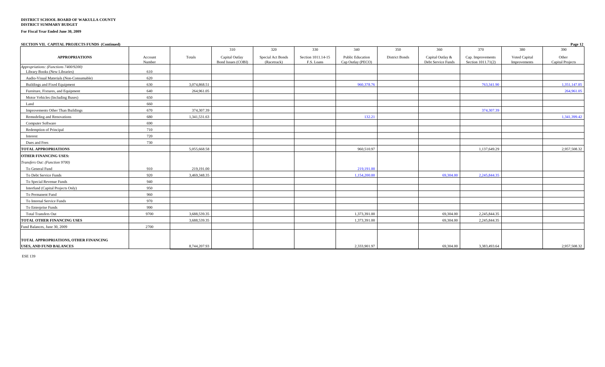#### **DISTRICT SCHOOL BOARD OF WAKULLA COUNTY DISTRICT SUMMARY BUDGET**

#### **For Fiscal Year Ended June 30, 2009**

#### **SECTION VII. CAPITAL PROJECTS FUNDS (Continued) Page 12**

|                                                                         |                   |              | 310                                  | 320                              | 330                              | 340                                          | 350                   | 360                                    | 370                                     | 380                           | 390                       |
|-------------------------------------------------------------------------|-------------------|--------------|--------------------------------------|----------------------------------|----------------------------------|----------------------------------------------|-----------------------|----------------------------------------|-----------------------------------------|-------------------------------|---------------------------|
| <b>APPROPRIATIONS</b>                                                   | Account<br>Number | Totals       | Capital Outlay<br>Bond Issues (COBI) | Special Act Bonds<br>(Racetrack) | Section 1011.14-15<br>F.S. Loans | <b>Public Education</b><br>Cap Outlay (PECO) | <b>District Bonds</b> | Capital Outlay &<br>Debt Service Funds | Cap. Improvements<br>Section 1011.71(2) | Voted Capital<br>Improvements | Other<br>Capital Projects |
| Appropriations: (Functions 7400/9200)<br>Library Books (New Libraries)  | 610               |              |                                      |                                  |                                  |                                              |                       |                                        |                                         |                               |                           |
| Audio-Visual Materials (Non-Consumable)                                 | 620               |              |                                      |                                  |                                  |                                              |                       |                                        |                                         |                               |                           |
| <b>Buildings and Fixed Equipment</b>                                    | 630               | 3,074,868.51 |                                      |                                  |                                  | 960,378.76                                   |                       |                                        | 763,341.90                              |                               | 1,351,147.85              |
| Furniture, Fixtures, and Equipment                                      | 640               | 264,961.05   |                                      |                                  |                                  |                                              |                       |                                        |                                         |                               | 264,961.05                |
| Motor Vehicles (Including Buses)                                        | 650               |              |                                      |                                  |                                  |                                              |                       |                                        |                                         |                               |                           |
| Land                                                                    | 660               |              |                                      |                                  |                                  |                                              |                       |                                        |                                         |                               |                           |
| Improvements Other Than Buildings                                       | 670               | 374,307.39   |                                      |                                  |                                  |                                              |                       |                                        | 374,307.39                              |                               |                           |
| Remodeling and Renovations                                              | 680               | 1,341,531.63 |                                      |                                  |                                  | 132.21                                       |                       |                                        |                                         |                               | 1,341,399.42              |
| Computer Software                                                       | 690               |              |                                      |                                  |                                  |                                              |                       |                                        |                                         |                               |                           |
| Redemption of Principal                                                 | 710               |              |                                      |                                  |                                  |                                              |                       |                                        |                                         |                               |                           |
| Interest                                                                | 720               |              |                                      |                                  |                                  |                                              |                       |                                        |                                         |                               |                           |
| Dues and Fees                                                           | 730               |              |                                      |                                  |                                  |                                              |                       |                                        |                                         |                               |                           |
| <b>TOTAL APPROPRIATIONS</b>                                             |                   | 5,055,668.58 |                                      |                                  |                                  | 960,510.97                                   |                       |                                        | 1,137,649.29                            |                               | 2,957,508.32              |
| <b>OTHER FINANCING USES:</b>                                            |                   |              |                                      |                                  |                                  |                                              |                       |                                        |                                         |                               |                           |
| Transfers Out: (Function 9700)                                          |                   |              |                                      |                                  |                                  |                                              |                       |                                        |                                         |                               |                           |
| To General Fund                                                         | 910               | 219,191.00   |                                      |                                  |                                  | 219,191.00                                   |                       |                                        |                                         |                               |                           |
| To Debt Service Funds                                                   | 920               | 3,469,348.35 |                                      |                                  |                                  | 1,154,200.00                                 |                       | 69,304.00                              | 2,245,844.35                            |                               |                           |
| To Special Revenue Funds                                                | 940               |              |                                      |                                  |                                  |                                              |                       |                                        |                                         |                               |                           |
| Interfund (Capital Projects Only)                                       | 950               |              |                                      |                                  |                                  |                                              |                       |                                        |                                         |                               |                           |
| To Permanent Fund                                                       | 960               |              |                                      |                                  |                                  |                                              |                       |                                        |                                         |                               |                           |
| To Internal Service Funds                                               | 970               |              |                                      |                                  |                                  |                                              |                       |                                        |                                         |                               |                           |
| To Enterprise Funds                                                     | 990               |              |                                      |                                  |                                  |                                              |                       |                                        |                                         |                               |                           |
| <b>Total Transfers Out</b>                                              | 9700              | 3,688,539.35 |                                      |                                  |                                  | 1,373,391.00                                 |                       | 69,304.00                              | 2,245,844.35                            |                               |                           |
| TOTAL OTHER FINANCING USES                                              |                   | 3.688,539.35 |                                      |                                  |                                  | 1,373,391.00                                 |                       | 69,304.00                              | 2,245,844.35                            |                               |                           |
| Fund Balances, June 30, 2009                                            | 2700              |              |                                      |                                  |                                  |                                              |                       |                                        |                                         |                               |                           |
| TOTAL APPROPRIATIONS, OTHER FINANCING<br><b>USES, AND FUND BALANCES</b> |                   | 8,744,207.93 |                                      |                                  |                                  | 2.333,901.97                                 |                       | 69.304.00                              | 3.383,493.64                            |                               | 2.957.508.32              |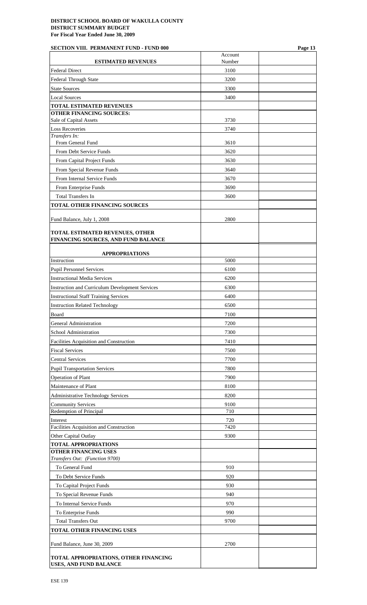## **SECTION VIII. PERMANENT FUND - FUND 000 Page 13**

| <b>ESTIMATED REVENUES</b>                                       | Account<br>Number |  |
|-----------------------------------------------------------------|-------------------|--|
| <b>Federal Direct</b>                                           | 3100              |  |
| Federal Through State                                           | 3200              |  |
| <b>State Sources</b>                                            | 3300              |  |
| <b>Local Sources</b>                                            | 3400              |  |
| <b>TOTAL ESTIMATED REVENUES</b>                                 |                   |  |
| <b>OTHER FINANCING SOURCES:</b>                                 |                   |  |
| Sale of Capital Assets                                          | 3730              |  |
| <b>Loss Recoveries</b>                                          | 3740              |  |
| Transfers In:<br>From General Fund                              | 3610              |  |
| From Debt Service Funds                                         | 3620              |  |
| From Capital Project Funds                                      | 3630              |  |
| From Special Revenue Funds                                      | 3640              |  |
| From Internal Service Funds                                     | 3670              |  |
| From Enterprise Funds                                           | 3690              |  |
| <b>Total Transfers In</b>                                       | 3600              |  |
| <b>TOTAL OTHER FINANCING SOURCES</b>                            |                   |  |
|                                                                 |                   |  |
| Fund Balance, July 1, 2008                                      | 2800              |  |
| <b>TOTAL ESTIMATED REVENUES, OTHER</b>                          |                   |  |
| FINANCING SOURCES, AND FUND BALANCE                             |                   |  |
|                                                                 |                   |  |
| <b>APPROPRIATIONS</b><br>Instruction                            | 5000              |  |
| Pupil Personnel Services                                        | 6100              |  |
| <b>Instructional Media Services</b>                             | 6200              |  |
| Instruction and Curriculum Development Services                 | 6300              |  |
| <b>Instructional Staff Training Services</b>                    | 6400              |  |
| <b>Instruction Related Technology</b>                           | 6500              |  |
| Board                                                           | 7100              |  |
| General Administration                                          | 7200              |  |
| School Administration                                           | 7300              |  |
| Facilities Acquisition and Construction                         | 7410              |  |
| <b>Fiscal Services</b>                                          | 7500              |  |
| <b>Central Services</b>                                         | 7700              |  |
| <b>Pupil Transportation Services</b>                            | 7800              |  |
| <b>Operation of Plant</b>                                       | 7900              |  |
| Maintenance of Plant                                            | 8100              |  |
| <b>Administrative Technology Services</b>                       | 8200              |  |
| <b>Community Services</b>                                       | 9100              |  |
| Redemption of Principal                                         | 710               |  |
| Interest                                                        | 720               |  |
| Facilities Acquisition and Construction                         | 7420              |  |
| Other Capital Outlay<br><b>TOTAL APPROPRIATIONS</b>             | 9300              |  |
| <b>OTHER FINANCING USES</b>                                     |                   |  |
| Transfers Out: (Function 9700)                                  |                   |  |
| To General Fund                                                 | 910               |  |
| To Debt Service Funds                                           | 920               |  |
| To Capital Project Funds                                        | 930               |  |
| To Special Revenue Funds                                        | 940               |  |
| To Internal Service Funds                                       | 970               |  |
| To Enterprise Funds                                             | 990               |  |
| <b>Total Transfers Out</b>                                      | 9700              |  |
| TOTAL OTHER FINANCING USES                                      |                   |  |
| Fund Balance, June 30, 2009                                     | 2700              |  |
| TOTAL APPROPRIATIONS, OTHER FINANCING<br>USES, AND FUND BALANCE |                   |  |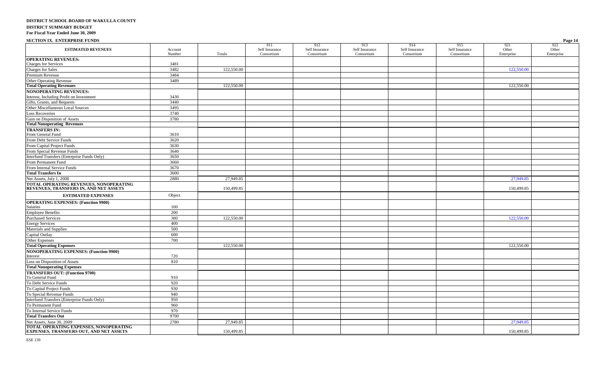#### **SECTION IX. ENTERPRISE FUNDS Page 14**

|                                                                                  |                   |            | 911                          | 912                          | 913                          | 914                          | 915                          | 921                 | 922                              |
|----------------------------------------------------------------------------------|-------------------|------------|------------------------------|------------------------------|------------------------------|------------------------------|------------------------------|---------------------|----------------------------------|
| <b>ESTIMATED REVENUES</b>                                                        | Account<br>Number | Totals     | Self Insurance<br>Consortium | Self Insurance<br>Consortium | Self Insurance<br>Consortium | Self Insurance<br>Consortium | Self Insurance<br>Consortium | Other<br>Enterprise | $\overline{Other}$<br>Enterprise |
| <b>OPERATING REVENUES:</b>                                                       |                   |            |                              |                              |                              |                              |                              |                     |                                  |
| <b>Charges for Services</b>                                                      | 3481              |            |                              |                              |                              |                              |                              |                     |                                  |
| <b>Charges for Sales</b>                                                         | 3482              | 122,550.00 |                              |                              |                              |                              |                              | 122,550.00          |                                  |
| Premium Revenue                                                                  | 3484              |            |                              |                              |                              |                              |                              |                     |                                  |
| Other Operating Revenue                                                          | 3489              |            |                              |                              |                              |                              |                              |                     |                                  |
| <b>Total Operating Revenues</b>                                                  |                   | 122,550.00 |                              |                              |                              |                              |                              | 122,550.00          |                                  |
| <b>NONOPERATING REVENUES:</b>                                                    |                   |            |                              |                              |                              |                              |                              |                     |                                  |
| Interest, Including Profit on Investment                                         | 3430              |            |                              |                              |                              |                              |                              |                     |                                  |
| Gifts, Grants, and Bequests                                                      | 3440              |            |                              |                              |                              |                              |                              |                     |                                  |
| Other Miscellaneous Local Sources                                                | 3495              |            |                              |                              |                              |                              |                              |                     |                                  |
| <b>Loss Recoveries</b>                                                           | 3740              |            |                              |                              |                              |                              |                              |                     |                                  |
| Gain on Disposition of Assets                                                    | 3780              |            |                              |                              |                              |                              |                              |                     |                                  |
| <b>Total Nonoperating Revenues</b>                                               |                   |            |                              |                              |                              |                              |                              |                     |                                  |
| <b>TRANSFERS IN:</b>                                                             |                   |            |                              |                              |                              |                              |                              |                     |                                  |
| From General Fund                                                                | 3610              |            |                              |                              |                              |                              |                              |                     |                                  |
| From Debt Service Funds                                                          | 3620              |            |                              |                              |                              |                              |                              |                     |                                  |
| From Capital Project Funds                                                       | 3630              |            |                              |                              |                              |                              |                              |                     |                                  |
| From Special Revenue Funds                                                       | 3640              |            |                              |                              |                              |                              |                              |                     |                                  |
| Interfund Transfers (Enterprise Funds Only)                                      | 3650              |            |                              |                              |                              |                              |                              |                     |                                  |
| From Permanent Fund                                                              | 3660              |            |                              |                              |                              |                              |                              |                     |                                  |
| From Internal Service Funds                                                      | 3670              |            |                              |                              |                              |                              |                              |                     |                                  |
| <b>Total Transfers In</b>                                                        | 3600              |            |                              |                              |                              |                              |                              |                     |                                  |
| Net Assets, July 1, 2008                                                         | 2880              | 27,949.85  |                              |                              |                              |                              |                              | 27,949.85           |                                  |
| TOTAL OPERATING REVENUES, NONOPERATING<br>REVENUES, TRANSFERS IN, AND NET ASSETS |                   | 150,499.85 |                              |                              |                              |                              |                              | 150,499.85          |                                  |
| <b>ESTIMATED EXPENSES</b>                                                        | Object            |            |                              |                              |                              |                              |                              |                     |                                  |
| <b>OPERATING EXPENSES: (Function 9900)</b>                                       |                   |            |                              |                              |                              |                              |                              |                     |                                  |
| Salaries                                                                         | 100               |            |                              |                              |                              |                              |                              |                     |                                  |
| <b>Employee Benefits</b>                                                         | 200               |            |                              |                              |                              |                              |                              |                     |                                  |
| <b>Purchased Services</b>                                                        | 300               | 122,550.00 |                              |                              |                              |                              |                              | 122,550.00          |                                  |
| <b>Energy Services</b>                                                           | 400               |            |                              |                              |                              |                              |                              |                     |                                  |
| Materials and Supplies                                                           | 500               |            |                              |                              |                              |                              |                              |                     |                                  |
| Capital Outlay                                                                   | 600               |            |                              |                              |                              |                              |                              |                     |                                  |
| Other Expenses                                                                   | 700               |            |                              |                              |                              |                              |                              |                     |                                  |
| <b>Total Operating Expenses</b>                                                  |                   | 122,550.00 |                              |                              |                              |                              |                              | 122,550.00          |                                  |
| <b>NONOPERATING EXPENSES: (Function 9900)</b>                                    |                   |            |                              |                              |                              |                              |                              |                     |                                  |
| Interest                                                                         | 720               |            |                              |                              |                              |                              |                              |                     |                                  |
| Loss on Disposition of Assets                                                    | 810               |            |                              |                              |                              |                              |                              |                     |                                  |
| <b>Total Nonoperating Expenses</b>                                               |                   |            |                              |                              |                              |                              |                              |                     |                                  |
| <b>TRANSFERS OUT: (Function 9700)</b><br>To General Fund                         | 910               |            |                              |                              |                              |                              |                              |                     |                                  |
| To Debt Service Funds                                                            | 920               |            |                              |                              |                              |                              |                              |                     |                                  |
| To Capital Project Funds                                                         | 930               |            |                              |                              |                              |                              |                              |                     |                                  |
| To Special Revenue Funds                                                         | 940               |            |                              |                              |                              |                              |                              |                     |                                  |
| Interfund Transfers (Enterprise Funds Only)                                      | 950               |            |                              |                              |                              |                              |                              |                     |                                  |
| To Permanent Fund                                                                | 960               |            |                              |                              |                              |                              |                              |                     |                                  |
| To Internal Service Funds                                                        | 970               |            |                              |                              |                              |                              |                              |                     |                                  |
| <b>Total Transfers Out</b>                                                       | 9700              |            |                              |                              |                              |                              |                              |                     |                                  |
| Net Assets, June 30, 2009                                                        | 2780              | 27,949.85  |                              |                              |                              |                              |                              | 27,949.85           |                                  |
| TOTAL OPERATING EXPENSES, NONOPERATING                                           |                   |            |                              |                              |                              |                              |                              |                     |                                  |
| <b>EXPENSES, TRANSFERS OUT, AND NET ASSETS</b>                                   |                   | 150,499.85 |                              |                              |                              |                              |                              | 150,499.85          |                                  |